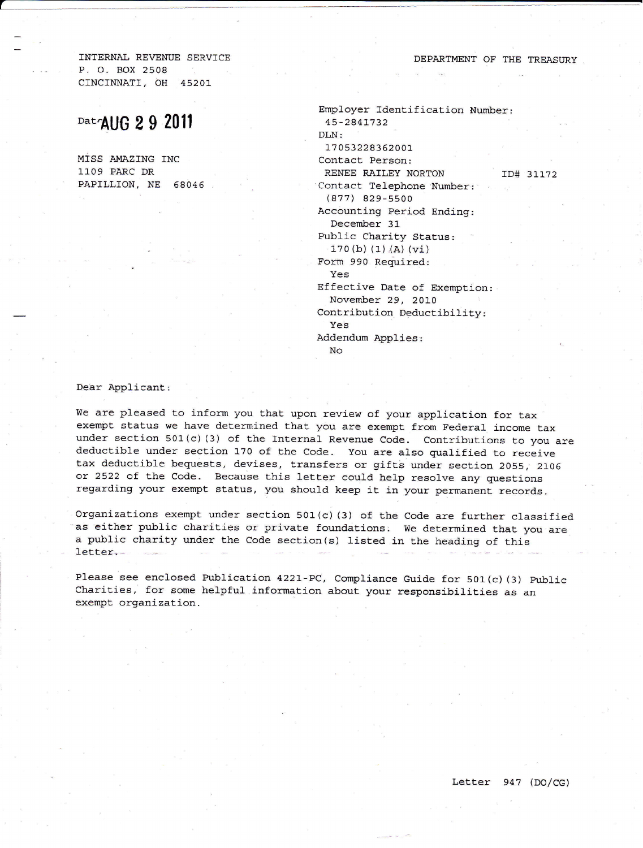INTERNAL REVENUE SERVICE P. O. BOX 2508 CINCTNNATT, OH 45207

## $Dat$  AUG 29 2011

MTSS AMAZING INC 1109 PARC DR PAPILLION, NE 68046 DEPARTMENT OF THE TREASURY

Employer Identification Number: 45 -2841\_7 32 DLN: t7 05322835200r Contact Person: RENEE RAILEY NORTON ID# 31172 Contact. Telephone Number:  $(877)$  829-5500 Accounting Period Ending: December 31 Public Charity Status:  $170(b)$  (1) (A) (vi) Form 990 Reguired: Yes Effective Date of Exemption: November 29, 2010 Contribution Deductibility: Yes Addendum Applies: No

Dear Applicant:

We are pleased to inform you that upon review of your application for tax exempt status we have determined that you are exempt from Federal income tax under section 501(c) (3) of the Internal Revenue Code. Contributions to you are deductible under section 170 of the Code. You are also qualified to receive tax deductible bequests, devises, transfers or gifts under section 2055, 2106<br>or 2522 of the Code. Because this letter could help resolve any questions regarding your exempt status, you should keep it in your permanent records.

Organizations exempt under section 501(c) (3) of the Code are further classified as either public charities or private foundations. We determined that you are a public charity under the Code section(s) listed in the heading of this letter,

Please see enclosed Publication 4221-PC, Compliance Guide for 501(c) (3) Public Charities, for some helpful information about your responsibilities as an exempt organization.